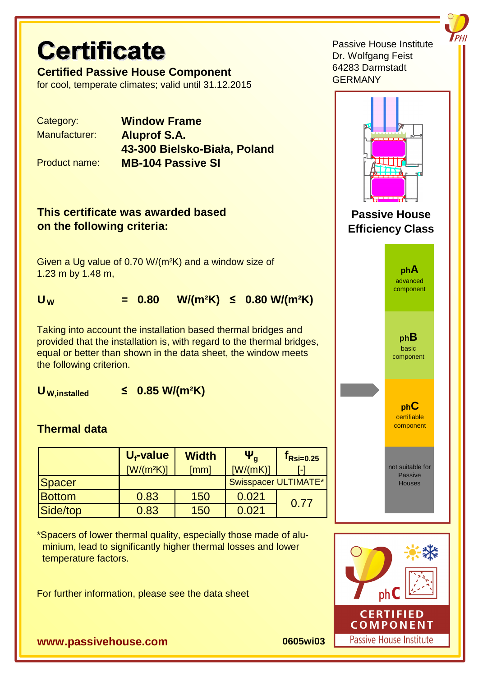# **Certificate**

**Certified Passive House Component**  for cool, temperate climates; valid until 31.12.2015

Category: **Window Frame** Manufacturer: **Aluprof S.A. 43-300 Bielsko-Biała, Poland** Product name: **MB-104 Passive SI**

**This certificate was awarded based on the following criteria:**

Given a Ug value of 0.70 W/(m²K) and a window size of 1.23 m by 1.48 m,

 $U_w$  = 0.80 W/(m<sup>2</sup>K) ≤ 0.80 W/(m<sup>2</sup>K)

Taking into account the installation based thermal bridges and provided that the installation is, with regard to the thermal bridges, equal or better than shown in the data sheet, the window meets the following criterion.

**U W,installed ≤ 0.85 W/(m²K)**

## **Thermal data**

|               | $U_f$ -value<br>$[W/(m^2K)]$ | <b>Width</b><br>[mm] | $\Psi_a$<br>[W/(mK)] | $\rm r_{Rsi=0.25}$   |
|---------------|------------------------------|----------------------|----------------------|----------------------|
| Spacer        |                              |                      |                      | Swisspacer ULTIMATE* |
| <b>Bottom</b> | 0.83                         | 150                  | 0.021                | 0.77                 |
| Side/top      | 0.83                         | 150                  | 0.021                |                      |

\*Spacers of lower thermal quality, especially those made of alu minium, lead to significantly higher thermal losses and lower temperature factors.

For further information, please see the data sheet







**www.passivehouse.com 0605wi03**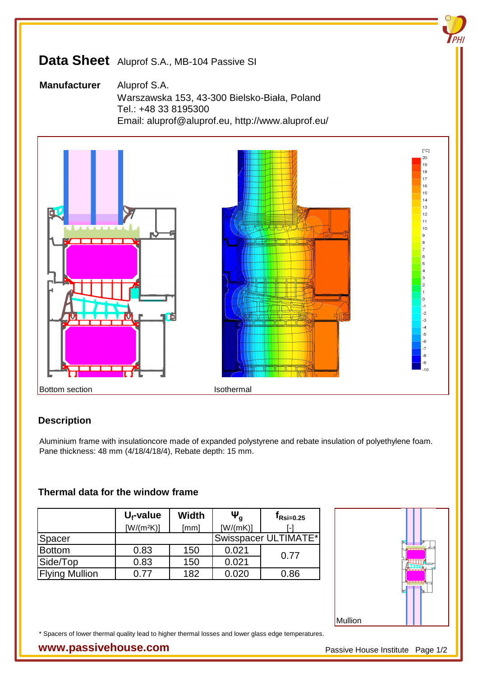## **Data Sheet** Aluprof S.A., MB-104 Passive SI

**Manufacturer** Aluprof S.A. Warszawska 153, 43-300 Bielsko-Biała, Poland Tel.: +48 33 8195300 Email: aluprof@aluprof.eu, http://www.aluprof.eu/



## **Description**

Aluminium frame with insulationcore made of expanded polystyrene and rebate insulation of polyethylene foam. Pane thickness: 48 mm (4/18/4/18/4), Rebate depth: 15 mm.

#### **Thermal data for the window frame**

|                       | $U_f$ -value | <b>Width</b> | $\Psi_{\alpha}$ | t <sub>Rsi=0.25</sub> |
|-----------------------|--------------|--------------|-----------------|-----------------------|
|                       | $[W/(m^2K)]$ | [mm]         | [W/(mK)]        | l-l                   |
| Spacer                |              |              |                 | Swisspacer ULTIMATE*I |
| <b>Bottom</b>         | 0.83         | 150          | 0.021           | 0.77                  |
| Side/Top              | 0.83         | 150          | 0.021           |                       |
| <b>Flying Mullion</b> | 0.77         | 182          | 0.020           | 0.86                  |



\* Spacers of lower thermal quality lead to higher thermal losses and lower glass edge temperatures.

#### **WWW.passivehouse.com Passive House Institute Page 1/2**